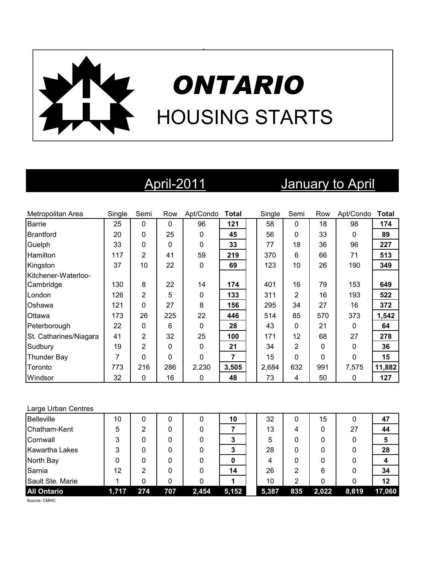

# April-2011 January to April

| Metropolitan Area      | Single | Semi           | Row          | Apt/Condo    | <b>Total</b> | Single | Semi           | Row      | Apt/Condo    | <b>Total</b> |
|------------------------|--------|----------------|--------------|--------------|--------------|--------|----------------|----------|--------------|--------------|
| <b>Barrie</b>          | 25     | $\mathbf 0$    | $\mathbf{0}$ | 96           | 121          | 58     | $\mathbf{0}$   | 18       | 98           | 174          |
| <b>Brantford</b>       | 20     | 0              | 25           | $\mathbf{0}$ | 45           | 56     | $\mathbf 0$    | 33       | $\mathbf{0}$ | 89           |
| Guelph                 | 33     | 0              | 0            | $\mathbf 0$  | 33           | 77     | 18             | 36       | 96           | 227          |
| Hamilton               | 117    | 2              | 41           | 59           | 219          | 370    | 6              | 66       | 71           | 513          |
| Kingston               | 37     | 10             | 22           | 0            | 69           | 123    | 10             | 26       | 190          | 349          |
| Kitchener-Waterloo-    |        |                |              |              |              |        |                |          |              |              |
| Cambridge              | 130    | 8              | 22           | 14           | 174          | 401    | 16             | 79       | 153          | 649          |
| London                 | 126    | 2              | 5            | $\mathbf 0$  | 133          | 311    | $\overline{2}$ | 16       | 193          | 522          |
| Oshawa                 | 121    | 0              | 27           | 8            | 156          | 295    | 34             | 27       | 16           | 372          |
| Ottawa                 | 173    | 26             | 225          | 22           | 446          | 514    | 85             | 570      | 373          | 1,542        |
| Peterborough           | 22     | 0              | 6            | $\Omega$     | 28           | 43     | $\mathbf 0$    | 21       | $\mathbf{0}$ | 64           |
| St. Catharines/Niagara | 41     | $\overline{2}$ | 32           | 25           | 100          | 171    | 12             | 68       | 27           | 278          |
| Sudbury                | 19     | $\overline{2}$ | 0            | $\mathbf{0}$ | 21           | 34     | 2              | 0        | 0            | 36           |
| Thunder Bay            | 7      | 0              | 0            | $\Omega$     | 7            | 15     | $\Omega$       | $\Omega$ | $\Omega$     | 15           |
| Toronto                | 773    | 216            | 286          | 2,230        | 3,505        | 2,684  | 632            | 991      | 7,575        | 11,882       |
| Windsor                | 32     | 0              | 16           | 0            | 48           | 73     | 4              | 50       | 0            | 127          |

### Large Urban Centres

| Belleville            | 10    | 0   |     |       | 10    | 32    | 0   | 15    |       | 47     |
|-----------------------|-------|-----|-----|-------|-------|-------|-----|-------|-------|--------|
| Chatham-Kent          | 5     | 2   |     |       |       | 13    | 4   | 0     | 27    | 44     |
| Cornwall              | 3     |     |     |       | 3     | 5     | 0   | 0     | 0     |        |
| <b>Kawartha Lakes</b> | 3     |     |     |       |       | 28    | 0   |       |       | 28     |
| North Bay             | 0     |     |     |       |       | 4     | 0   | 0     |       |        |
| Sarnia                | 12    | 2   |     |       | 14    | 26    | 2   | 6     |       | 34     |
| Sault Ste. Marie      |       |     |     |       |       | 10    | 2   | 0     |       | 12     |
| <b>All Ontario</b>    | 1,717 | 274 | 707 | 2,454 | 5,152 | 5,387 | 835 | 2,022 | 8,819 | 17,060 |

Source: CMHC